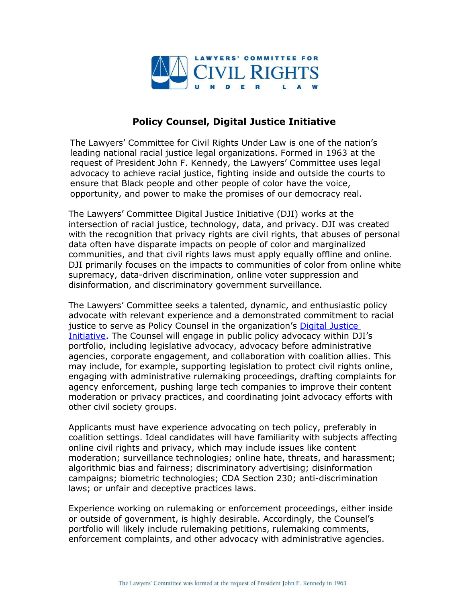

## **Policy Counsel, Digital Justice Initiative**

The Lawyers' Committee for Civil Rights Under Law is one of the nation's leading national racial justice legal organizations. Formed in 1963 at the request of President John F. Kennedy, the Lawyers' Committee uses legal advocacy to achieve racial justice, fighting inside and outside the courts to ensure that Black people and other people of color have the voice, opportunity, and power to make the promises of our democracy real.

The Lawyers' Committee Digital Justice Initiative (DJI) works at the intersection of racial justice, technology, data, and privacy. DJI was created with the recognition that privacy rights are civil rights, that abuses of personal data often have disparate impacts on people of color and marginalized communities, and that civil rights laws must apply equally offline and online. DJI primarily focuses on the impacts to communities of color from online white supremacy, data-driven discrimination, online voter suppression and disinformation, and discriminatory government surveillance.

The Lawyers' Committee seeks a talented, dynamic, and enthusiastic policy advocate with relevant experience and a demonstrated commitment to racial justice to serve as Policy Counsel in the organization's Digital Justice [Initiative](https://www.lawyerscommittee.org/digitaljustice/). The Counsel will engage in public policy advocacy within DJI's portfolio, including legislative advocacy, advocacy before administrative agencies, corporate engagement, and collaboration with coalition allies. This may include, for example, supporting legislation to protect civil rights online, engaging with administrative rulemaking proceedings, drafting complaints for agency enforcement, pushing large tech companies to improve their content moderation or privacy practices, and coordinating joint advocacy efforts with other civil society groups.

Applicants must have experience advocating on tech policy, preferably in coalition settings. Ideal candidates will have familiarity with subjects affecting online civil rights and privacy, which may include issues like content moderation; surveillance technologies; online hate, threats, and harassment; algorithmic bias and fairness; discriminatory advertising; disinformation campaigns; biometric technologies; CDA Section 230; anti-discrimination laws; or unfair and deceptive practices laws.

Experience working on rulemaking or enforcement proceedings, either inside or outside of government, is highly desirable. Accordingly, the Counsel's portfolio will likely include rulemaking petitions, rulemaking comments, enforcement complaints, and other advocacy with administrative agencies.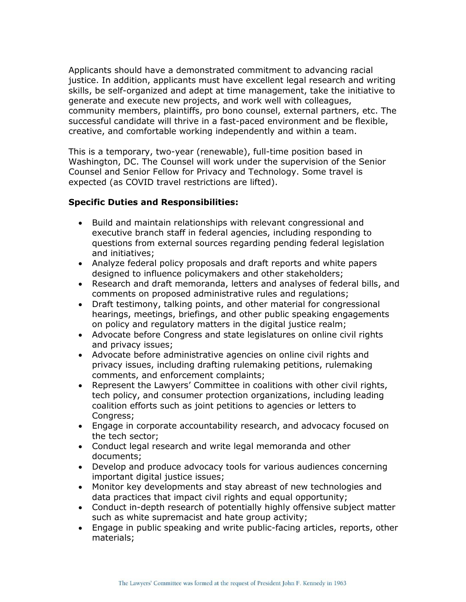Applicants should have a demonstrated commitment to advancing racial justice. In addition, applicants must have excellent legal research and writing skills, be self-organized and adept at time management, take the initiative to generate and execute new projects, and work well with colleagues, community members, plaintiffs, pro bono counsel, external partners, etc. The successful candidate will thrive in a fast-paced environment and be flexible, creative, and comfortable working independently and within a team.

This is a temporary, two-year (renewable), full-time position based in Washington, DC. The Counsel will work under the supervision of the Senior Counsel and Senior Fellow for Privacy and Technology. Some travel is expected (as COVID travel restrictions are lifted).

## **Specific Duties and Responsibilities:**

- Build and maintain relationships with relevant congressional and executive branch staff in federal agencies, including responding to questions from external sources regarding pending federal legislation and initiatives;
- Analyze federal policy proposals and draft reports and white papers designed to influence policymakers and other stakeholders;
- Research and draft memoranda, letters and analyses of federal bills, and comments on proposed administrative rules and regulations;
- Draft testimony, talking points, and other material for congressional hearings, meetings, briefings, and other public speaking engagements on policy and regulatory matters in the digital justice realm;
- Advocate before Congress and state legislatures on online civil rights and privacy issues;
- Advocate before administrative agencies on online civil rights and privacy issues, including drafting rulemaking petitions, rulemaking comments, and enforcement complaints;
- Represent the Lawyers' Committee in coalitions with other civil rights, tech policy, and consumer protection organizations, including leading coalition efforts such as joint petitions to agencies or letters to Congress;
- Engage in corporate accountability research, and advocacy focused on the tech sector;
- Conduct legal research and write legal memoranda and other documents;
- Develop and produce advocacy tools for various audiences concerning important digital justice issues;
- Monitor key developments and stay abreast of new technologies and data practices that impact civil rights and equal opportunity;
- Conduct in-depth research of potentially highly offensive subject matter such as white supremacist and hate group activity;
- Engage in public speaking and write public-facing articles, reports, other materials;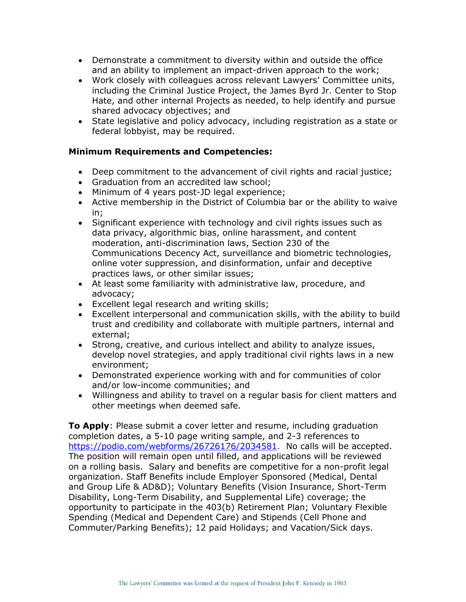- Demonstrate a commitment to diversity within and outside the office and an ability to implement an impact-driven approach to the work;
- Work closely with colleagues across relevant Lawyers' Committee units, including the Criminal Justice Project, the James Byrd Jr. Center to Stop Hate, and other internal Projects as needed, to help identify and pursue shared advocacy objectives; and
- State legislative and policy advocacy, including registration as a state or federal lobbyist, may be required.

## **Minimum Requirements and Competencies:**

- Deep commitment to the advancement of civil rights and racial justice;
- Graduation from an accredited law school;
- Minimum of 4 years post-JD legal experience;
- Active membership in the District of Columbia bar or the ability to waive in;
- Significant experience with technology and civil rights issues such as data privacy, algorithmic bias, online harassment, and content moderation, anti-discrimination laws, Section 230 of the Communications Decency Act, surveillance and biometric technologies, online voter suppression, and disinformation, unfair and deceptive practices laws, or other similar issues;
- At least some familiarity with administrative law, procedure, and advocacy;
- Excellent legal research and writing skills;
- Excellent interpersonal and communication skills, with the ability to build trust and credibility and collaborate with multiple partners, internal and external;
- Strong, creative, and curious intellect and ability to analyze issues, develop novel strategies, and apply traditional civil rights laws in a new environment;
- Demonstrated experience working with and for communities of color and/or low-income communities; and
- Willingness and ability to travel on a regular basis for client matters and other meetings when deemed safe.

**To Apply**: Please submit a cover letter and resume, including graduation completion dates, a 5-10 page writing sample, and 2-3 references to [https://podio.com/webforms/26726176/2034581.](https://podio.com/webforms/26726176/2034581) No calls will be accepted. The position will remain open until filled, and applications will be reviewed on a rolling basis. Salary and benefits are competitive for a non-profit legal organization. Staff Benefits include Employer Sponsored (Medical, Dental and Group Life & AD&D); Voluntary Benefits (Vision Insurance, Short-Term Disability, Long-Term Disability, and Supplemental Life) coverage; the opportunity to participate in the 403(b) Retirement Plan; Voluntary Flexible Spending (Medical and Dependent Care) and Stipends (Cell Phone and Commuter/Parking Benefits); 12 paid Holidays; and Vacation/Sick days.